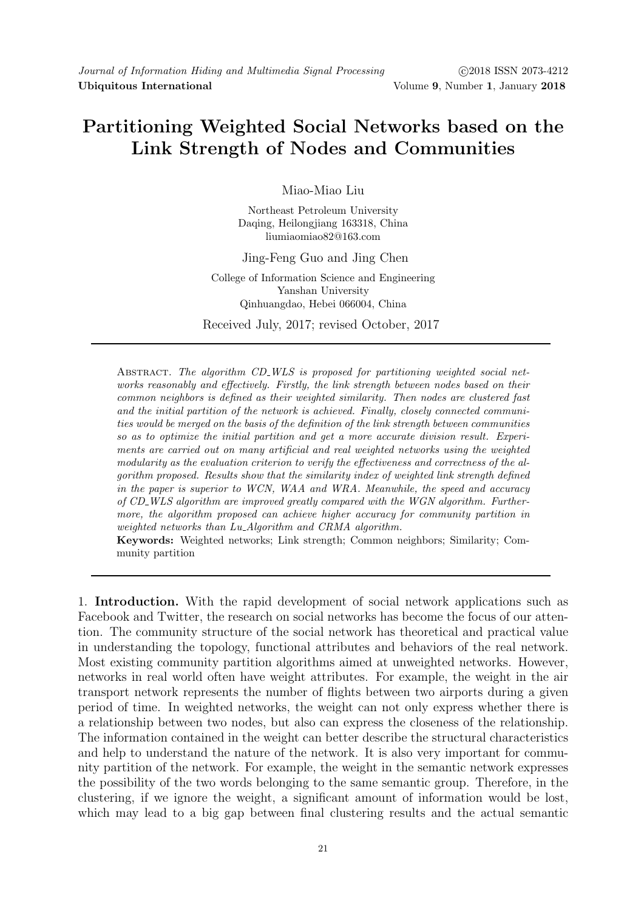## **Partitioning Weighted Social Networks based on the Link Strength of Nodes and Communities**

Miao-Miao Liu

Northeast Petroleum University Daqing, Heilongjiang 163318, China liumiaomiao82@163.com

Jing-Feng Guo and Jing Chen

College of Information Science and Engineering Yanshan University Qinhuangdao, Hebei 066004, China

Received July, 2017; revised October, 2017

Abstract. *The algorithm CD WLS is proposed for partitioning weighted social networks reasonably and effectively. Firstly, the link strength between nodes based on their common neighbors is defined as their weighted similarity. Then nodes are clustered fast and the initial partition of the network is achieved. Finally, closely connected communities would be merged on the basis of the definition of the link strength between communities so as to optimize the initial partition and get a more accurate division result. Experiments are carried out on many artificial and real weighted networks using the weighted modularity as the evaluation criterion to verify the effectiveness and correctness of the algorithm proposed. Results show that the similarity index of weighted link strength defined in the paper is superior to WCN, WAA and WRA. Meanwhile, the speed and accuracy of CD WLS algorithm are improved greatly compared with the WGN algorithm. Furthermore, the algorithm proposed can achieve higher accuracy for community partition in weighted networks than Lu Algorithm and CRMA algorithm.*

**Keywords:** Weighted networks; Link strength; Common neighbors; Similarity; Community partition

1. **Introduction.** With the rapid development of social network applications such as Facebook and Twitter, the research on social networks has become the focus of our attention. The community structure of the social network has theoretical and practical value in understanding the topology, functional attributes and behaviors of the real network. Most existing community partition algorithms aimed at unweighted networks. However, networks in real world often have weight attributes. For example, the weight in the air transport network represents the number of flights between two airports during a given period of time. In weighted networks, the weight can not only express whether there is a relationship between two nodes, but also can express the closeness of the relationship. The information contained in the weight can better describe the structural characteristics and help to understand the nature of the network. It is also very important for community partition of the network. For example, the weight in the semantic network expresses the possibility of the two words belonging to the same semantic group. Therefore, in the clustering, if we ignore the weight, a significant amount of information would be lost, which may lead to a big gap between final clustering results and the actual semantic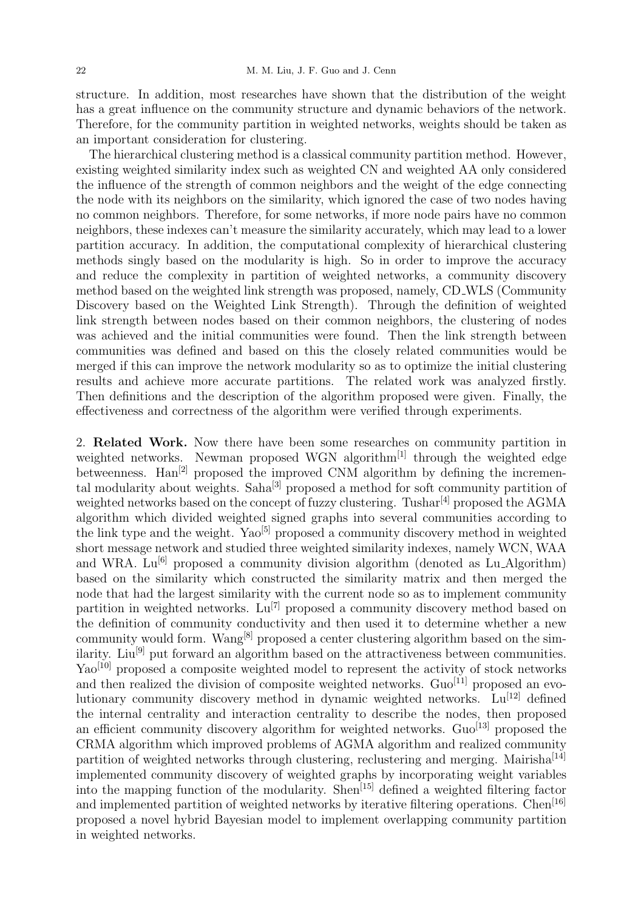structure. In addition, most researches have shown that the distribution of the weight has a great influence on the community structure and dynamic behaviors of the network. Therefore, for the community partition in weighted networks, weights should be taken as an important consideration for clustering.

The hierarchical clustering method is a classical community partition method. However, existing weighted similarity index such as weighted CN and weighted AA only considered the influence of the strength of common neighbors and the weight of the edge connecting the node with its neighbors on the similarity, which ignored the case of two nodes having no common neighbors. Therefore, for some networks, if more node pairs have no common neighbors, these indexes can't measure the similarity accurately, which may lead to a lower partition accuracy. In addition, the computational complexity of hierarchical clustering methods singly based on the modularity is high. So in order to improve the accuracy and reduce the complexity in partition of weighted networks, a community discovery method based on the weighted link strength was proposed, namely, CD WLS (Community Discovery based on the Weighted Link Strength). Through the definition of weighted link strength between nodes based on their common neighbors, the clustering of nodes was achieved and the initial communities were found. Then the link strength between communities was defined and based on this the closely related communities would be merged if this can improve the network modularity so as to optimize the initial clustering results and achieve more accurate partitions. The related work was analyzed firstly. Then definitions and the description of the algorithm proposed were given. Finally, the effectiveness and correctness of the algorithm were verified through experiments.

2. **Related Work.** Now there have been some researches on community partition in weighted networks. Newman proposed WGN algorithm $^{[1]}$  through the weighted edge betweenness.  $\text{Han}^{[2]}$  proposed the improved CNM algorithm by defining the incremental modularity about weights. Saha<sup>[3]</sup> proposed a method for soft community partition of weighted networks based on the concept of fuzzy clustering. Tushar<sup>[4]</sup> proposed the AGMA algorithm which divided weighted signed graphs into several communities according to the link type and the weight. Yao<sup>[5]</sup> proposed a community discovery method in weighted short message network and studied three weighted similarity indexes, namely WCN, WAA and WRA.  $Lu^{[6]}$  proposed a community division algorithm (denoted as  $Lu$ -Algorithm) based on the similarity which constructed the similarity matrix and then merged the node that had the largest similarity with the current node so as to implement community partition in weighted networks.  $\text{Lu}^{[7]}$  proposed a community discovery method based on the definition of community conductivity and then used it to determine whether a new community would form. Wang[8] proposed a center clustering algorithm based on the similarity. Liu<sup>[9]</sup> put forward an algorithm based on the attractiveness between communities. Yao<sup>[10]</sup> proposed a composite weighted model to represent the activity of stock networks and then realized the division of composite weighted networks.  $Gu^{[11]}$  proposed an evolutionary community discovery method in dynamic weighted networks.  $Lu^{[12]}$  defined the internal centrality and interaction centrality to describe the nodes, then proposed an efficient community discovery algorithm for weighted networks.  $\text{Guo}^{[13]}$  proposed the CRMA algorithm which improved problems of AGMA algorithm and realized community partition of weighted networks through clustering, reclustering and merging. Mairisha<sup>[14]</sup> implemented community discovery of weighted graphs by incorporating weight variables into the mapping function of the modularity. Shen[15] defined a weighted filtering factor and implemented partition of weighted networks by iterative filtering operations. Chen[16] proposed a novel hybrid Bayesian model to implement overlapping community partition in weighted networks.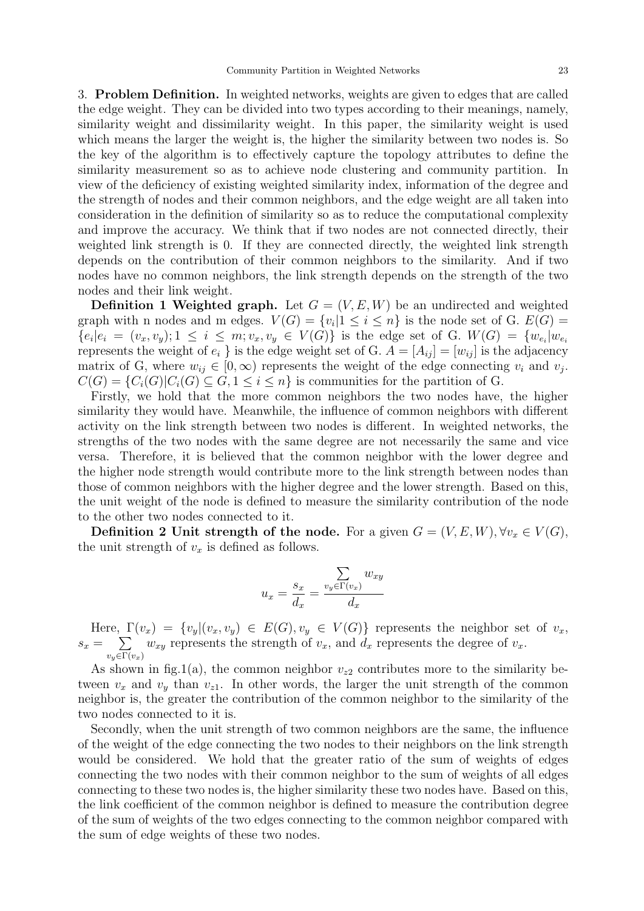3. **Problem Definition.** In weighted networks, weights are given to edges that are called the edge weight. They can be divided into two types according to their meanings, namely, similarity weight and dissimilarity weight. In this paper, the similarity weight is used which means the larger the weight is, the higher the similarity between two nodes is. So the key of the algorithm is to effectively capture the topology attributes to define the similarity measurement so as to achieve node clustering and community partition. In view of the deficiency of existing weighted similarity index, information of the degree and the strength of nodes and their common neighbors, and the edge weight are all taken into consideration in the definition of similarity so as to reduce the computational complexity and improve the accuracy. We think that if two nodes are not connected directly, their weighted link strength is 0. If they are connected directly, the weighted link strength depends on the contribution of their common neighbors to the similarity. And if two nodes have no common neighbors, the link strength depends on the strength of the two nodes and their link weight.

**Definition 1 Weighted graph.** Let  $G = (V, E, W)$  be an undirected and weighted graph with n nodes and m edges.  $V(G) = \{v_i | 1 \leq i \leq n\}$  is the node set of G.  $E(G) =$  ${e_i | e_i = (v_x, v_y); 1 \leq i \leq m; v_x, v_y \in V(G)}$  is the edge set of G.  $W(G) = \{w_{e_i} | w_{e_i}\}$ represents the weight of  $e_i$  } is the edge weight set of G.  $A = [A_{ij}] = [w_{ij}]$  is the adjacency matrix of G, where  $w_{ij} \in [0, \infty)$  represents the weight of the edge connecting  $v_i$  and  $v_j$ .  $C(G) = \{C_i(G)|C_i(G) \subseteq G, 1 \leq i \leq n\}$  is communities for the partition of G.

Firstly, we hold that the more common neighbors the two nodes have, the higher similarity they would have. Meanwhile, the influence of common neighbors with different activity on the link strength between two nodes is different. In weighted networks, the strengths of the two nodes with the same degree are not necessarily the same and vice versa. Therefore, it is believed that the common neighbor with the lower degree and the higher node strength would contribute more to the link strength between nodes than those of common neighbors with the higher degree and the lower strength. Based on this, the unit weight of the node is defined to measure the similarity contribution of the node to the other two nodes connected to it.

**Definition 2 Unit strength of the node.** For a given  $G = (V, E, W), \forall v_x \in V(G)$ , the unit strength of  $v_x$  is defined as follows.

$$
u_x = \frac{s_x}{d_x} = \frac{\sum_{v_y \in \Gamma(v_x)} w_{xy}}{d_x}
$$

Here,  $\Gamma(v_x) = \{v_y | (v_x, v_y) \in E(G), v_y \in V(G)\}\)$  represents the neighbor set of  $v_x$ ,  $s_x = \sum$ *vy∈*Γ(*vx*)  $w_{xy}$  represents the strength of  $v_x$ , and  $d_x$  represents the degree of  $v_x$ .

As shown in fig.1(a), the common neighbor  $v_{z2}$  contributes more to the similarity between  $v_x$  and  $v_y$  than  $v_{z1}$ . In other words, the larger the unit strength of the common neighbor is, the greater the contribution of the common neighbor to the similarity of the two nodes connected to it is.

Secondly, when the unit strength of two common neighbors are the same, the influence of the weight of the edge connecting the two nodes to their neighbors on the link strength would be considered. We hold that the greater ratio of the sum of weights of edges connecting the two nodes with their common neighbor to the sum of weights of all edges connecting to these two nodes is, the higher similarity these two nodes have. Based on this, the link coefficient of the common neighbor is defined to measure the contribution degree of the sum of weights of the two edges connecting to the common neighbor compared with the sum of edge weights of these two nodes.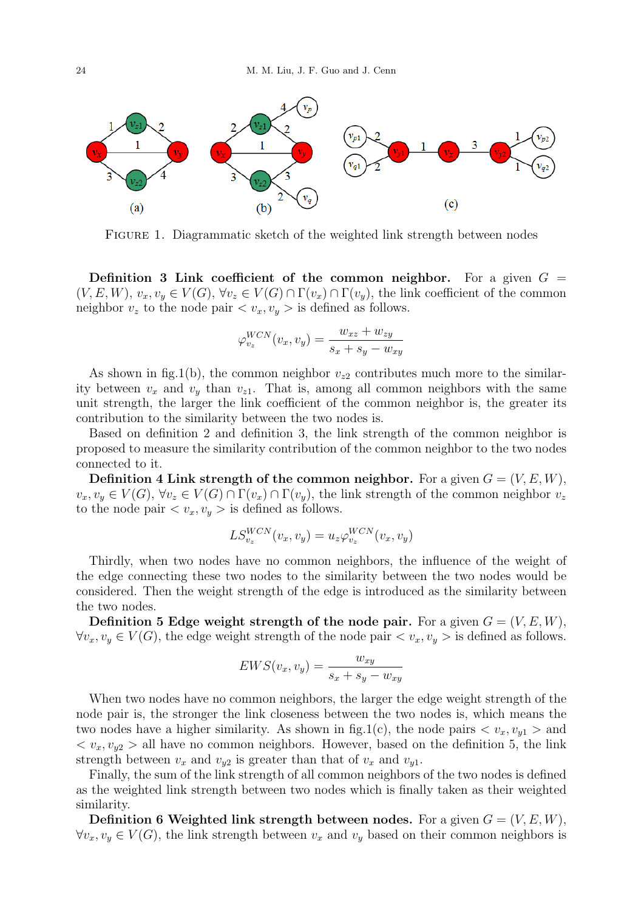

FIGURE 1. Diagrammatic sketch of the weighted link strength between nodes

**Definition 3 Link coefficient of the common neighbor.** For a given  $G =$  $(V, E, W), v_x, v_y \in V(G), \forall v_z \in V(G) \cap \Gamma(v_x) \cap \Gamma(v_y)$ , the link coefficient of the common neighbor  $v_z$  to the node pair  $\langle v_x, v_y \rangle$  is defined as follows.

$$
\varphi_{v_z}^{WCN}(v_x, v_y) = \frac{w_{xz} + w_{zy}}{s_x + s_y - w_{xy}}
$$

As shown in fig.1(b), the common neighbor  $v_{z2}$  contributes much more to the similarity between  $v_x$  and  $v_y$  than  $v_{z1}$ . That is, among all common neighbors with the same unit strength, the larger the link coefficient of the common neighbor is, the greater its contribution to the similarity between the two nodes is.

Based on definition 2 and definition 3, the link strength of the common neighbor is proposed to measure the similarity contribution of the common neighbor to the two nodes connected to it.

**Definition 4 Link strength of the common neighbor.** For a given  $G = (V, E, W)$ ,  $v_x, v_y \in V(G)$ ,  $\forall v_z \in V(G) \cap \Gamma(v_x) \cap \Gamma(v_y)$ , the link strength of the common neighbor  $v_z$ to the node pair  $\langle v_x, v_y \rangle$  is defined as follows.

$$
LS_{v_z}^{WCN}(v_x, v_y) = u_z \varphi_{v_z}^{WCN}(v_x, v_y)
$$

Thirdly, when two nodes have no common neighbors, the influence of the weight of the edge connecting these two nodes to the similarity between the two nodes would be considered. Then the weight strength of the edge is introduced as the similarity between the two nodes.

**Definition 5 Edge weight strength of the node pair.** For a given  $G = (V, E, W)$ , *∀v<sub>x</sub>*, *v<sub>y</sub>*  $\in$  *V*(*G*), the edge weight strength of the node pair  $\lt v_x, v_y \gt$  is defined as follows.

$$
EWS(v_x, v_y) = \frac{w_{xy}}{s_x + s_y - w_{xy}}
$$

When two nodes have no common neighbors, the larger the edge weight strength of the node pair is, the stronger the link closeness between the two nodes is, which means the two nodes have a higher similarity. As shown in fig.1(c), the node pairs  $\langle v_x, v_{y1} \rangle$  and  $\langle v_x, v_{y2} \rangle$  all have no common neighbors. However, based on the definition 5, the link strength between  $v_x$  and  $v_{y2}$  is greater than that of  $v_x$  and  $v_{y1}$ .

Finally, the sum of the link strength of all common neighbors of the two nodes is defined as the weighted link strength between two nodes which is finally taken as their weighted similarity.

**Definition 6 Weighted link strength between nodes.** For a given  $G = (V, E, W)$ , *∀v<sub>x</sub>*,  $v_y$  ∈ *V*(*G*), the link strength between *v<sub>x</sub>* and *v<sub>y</sub>* based on their common neighbors is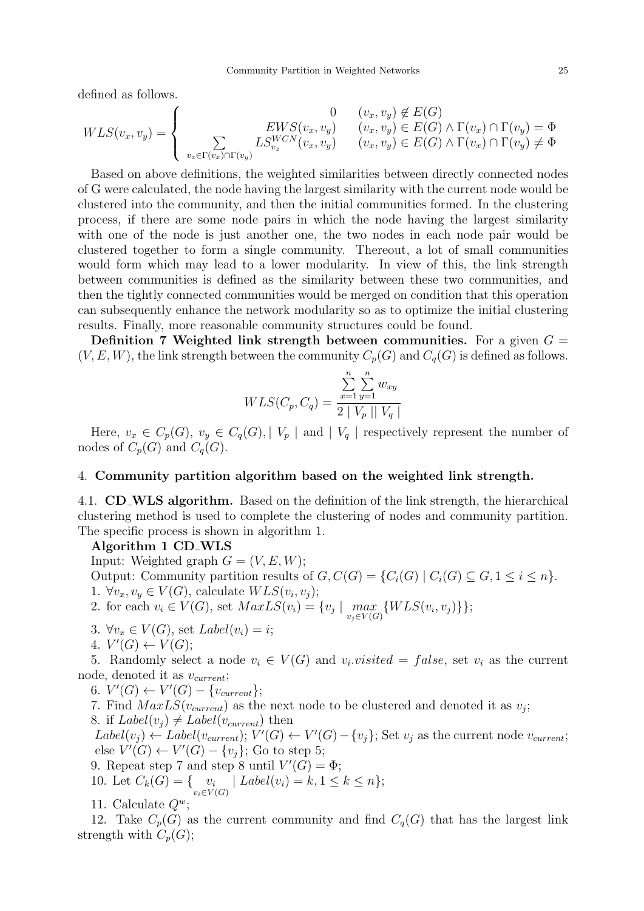defined as follows.

$$
WLS(v_x, v_y) = \begin{cases} 0 & (v_x, v_y) \notin E(G) \\ \sum_{v_z \in \Gamma(v_x) \cap \Gamma(v_y)} LS_{v_z}^{WCN}(v_x, v_y) & (v_x, v_y) \in E(G) \land \Gamma(v_x) \cap \Gamma(v_y) = \Phi \\ U_{v_z} \in E(v_x) \cap \Gamma(v_y) & (v_x, v_y) \in E(G) \land \Gamma(v_x) \cap \Gamma(v_y) \neq \Phi \end{cases}
$$

Based on above definitions, the weighted similarities between directly connected nodes of G were calculated, the node having the largest similarity with the current node would be clustered into the community, and then the initial communities formed. In the clustering process, if there are some node pairs in which the node having the largest similarity with one of the node is just another one, the two nodes in each node pair would be clustered together to form a single community. Thereout, a lot of small communities would form which may lead to a lower modularity. In view of this, the link strength between communities is defined as the similarity between these two communities, and then the tightly connected communities would be merged on condition that this operation can subsequently enhance the network modularity so as to optimize the initial clustering results. Finally, more reasonable community structures could be found.

**Definition 7 Weighted link strength between communities.** For a given  $G =$  $(V, E, W)$ , the link strength between the community  $C_p(G)$  and  $C_q(G)$  is defined as follows.

$$
WLS(C_p, C_q) = \frac{\sum_{x=1}^{n} \sum_{y=1}^{n} w_{xy}}{2 |V_p| |V_q|}
$$

Here,  $v_x \in C_p(G)$ ,  $v_y \in C_q(G)$ , |  $V_p$  | and |  $V_q$  | respectively represent the number of nodes of  $C_p(G)$  and  $C_q(G)$ .

## 4. **Community partition algorithm based on the weighted link strength.**

4.1. **CD WLS algorithm.** Based on the definition of the link strength, the hierarchical clustering method is used to complete the clustering of nodes and community partition. The specific process is shown in algorithm 1.

## **Algorithm 1 CD WLS**

Input: Weighted graph  $G = (V, E, W);$ Output: Community partition results of  $G, C(G) = \{C_i(G) \mid C_i(G) \subseteq G, 1 \leq i \leq n\}.$ 1.  $\forall v_x, v_y \in V(G)$ , calculate  $WLS(v_i, v_j)$ ;

2. for each  $v_i \in V(G)$ , set  $MaxLS(v_i) = \{v_j \mid \max_i$ *vj∈V* (*G*) *{W LS*(*v<sup>i</sup> , v<sup>j</sup>* )*}}*;

- 3.  $\forall v_x \in V(G)$ , set  $Label(v_i) = i$ ;
- $4. V'(G) \leftarrow V(G);$

5. Randomly select a node  $v_i \in V(G)$  and  $v_i$  *visited* = false, set  $v_i$  as the current node, denoted it as *vcurrent*;

6.  $V'(G)$  ←  $V'(G) - \{v_{current}\};$ 

- 7. Find  $MaxLS(v_{current})$  as the next node to be clustered and denoted it as  $v_j$ ;
- 8. if  $Label(v_j) \neq Label(v_{current})$  then

 $Label(v_j) \leftarrow Label(v_{current}); V'(G) \leftarrow V'(G) - \{v_j\};$  Set  $v_j$  as the current node  $v_{current};$  $V'(G) \leftarrow V'(G) - \{v_j\}$ ; Go to step 5;

9. Repeat step 7 and step 8 until  $V'(G) = \Phi$ ;

- 10. Let  $C_k(G) = \{ v_i$ *vi∈V* (*G*)  $| \text{Label}(v_i) = k, 1 \leq k \leq n \};$
- 11. Calculate  $Q^w$ ;

12. Take  $C_p(G)$  as the current community and find  $C_q(G)$  that has the largest link strength with  $C_p(G)$ ;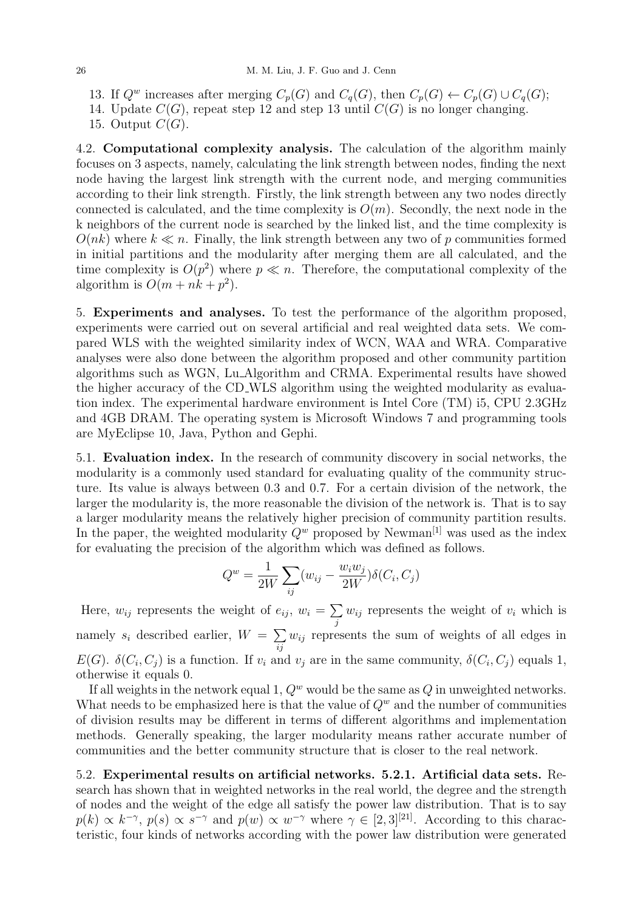13. If  $Q^w$  increases after merging  $C_p(G)$  and  $C_q(G)$ , then  $C_p(G) \leftarrow C_p(G) \cup C_q(G)$ ;

14. Update  $C(G)$ , repeat step 12 and step 13 until  $C(G)$  is no longer changing.

15. Output *C*(*G*).

4.2. **Computational complexity analysis.** The calculation of the algorithm mainly focuses on 3 aspects, namely, calculating the link strength between nodes, finding the next node having the largest link strength with the current node, and merging communities according to their link strength. Firstly, the link strength between any two nodes directly connected is calculated, and the time complexity is  $O(m)$ . Secondly, the next node in the k neighbors of the current node is searched by the linked list, and the time complexity is  $O(nk)$  where  $k \ll n$ . Finally, the link strength between any two of p communities formed in initial partitions and the modularity after merging them are all calculated, and the time complexity is  $O(p^2)$  where  $p \ll n$ . Therefore, the computational complexity of the algorithm is  $O(m + nk + p^2)$ .

5. **Experiments and analyses.** To test the performance of the algorithm proposed, experiments were carried out on several artificial and real weighted data sets. We compared WLS with the weighted similarity index of WCN, WAA and WRA. Comparative analyses were also done between the algorithm proposed and other community partition algorithms such as WGN, Lu Algorithm and CRMA. Experimental results have showed the higher accuracy of the CD WLS algorithm using the weighted modularity as evaluation index. The experimental hardware environment is Intel Core (TM) i5, CPU 2.3GHz and 4GB DRAM. The operating system is Microsoft Windows 7 and programming tools are MyEclipse 10, Java, Python and Gephi.

5.1. **Evaluation index.** In the research of community discovery in social networks, the modularity is a commonly used standard for evaluating quality of the community structure. Its value is always between 0.3 and 0.7. For a certain division of the network, the larger the modularity is, the more reasonable the division of the network is. That is to say a larger modularity means the relatively higher precision of community partition results. In the paper, the weighted modularity  $Q^w$  proposed by Newman<sup>[1]</sup> was used as the index for evaluating the precision of the algorithm which was defined as follows.

$$
Q^w = \frac{1}{2W} \sum_{ij} (w_{ij} - \frac{w_i w_j}{2W}) \delta(C_i, C_j)
$$

Here,  $w_{ij}$  represents the weight of  $e_{ij}$ ,  $w_i = \sum$ *j*  $w_{ij}$  represents the weight of  $v_i$  which is namely  $s_i$  described earlier,  $W = \sum$ *ij wij* represents the sum of weights of all edges in *E*(*G*).  $\delta(C_i, C_j)$  is a function. If  $v_i$  and  $v_j$  are in the same community,  $\delta(C_i, C_j)$  equals 1, otherwise it equals 0.

If all weights in the network equal 1, *Q<sup>w</sup>* would be the same as *Q* in unweighted networks. What needs to be emphasized here is that the value of  $Q<sup>w</sup>$  and the number of communities of division results may be different in terms of different algorithms and implementation methods. Generally speaking, the larger modularity means rather accurate number of communities and the better community structure that is closer to the real network.

5.2. **Experimental results on artificial networks. 5.2.1. Artificial data sets.** Research has shown that in weighted networks in the real world, the degree and the strength of nodes and the weight of the edge all satisfy the power law distribution. That is to say  $p(k) \propto k^{-\gamma}$ ,  $p(s) \propto s^{-\gamma}$  and  $p(w) \propto w^{-\gamma}$  where  $\gamma \in [2,3]^{[21]}$ . According to this characteristic, four kinds of networks according with the power law distribution were generated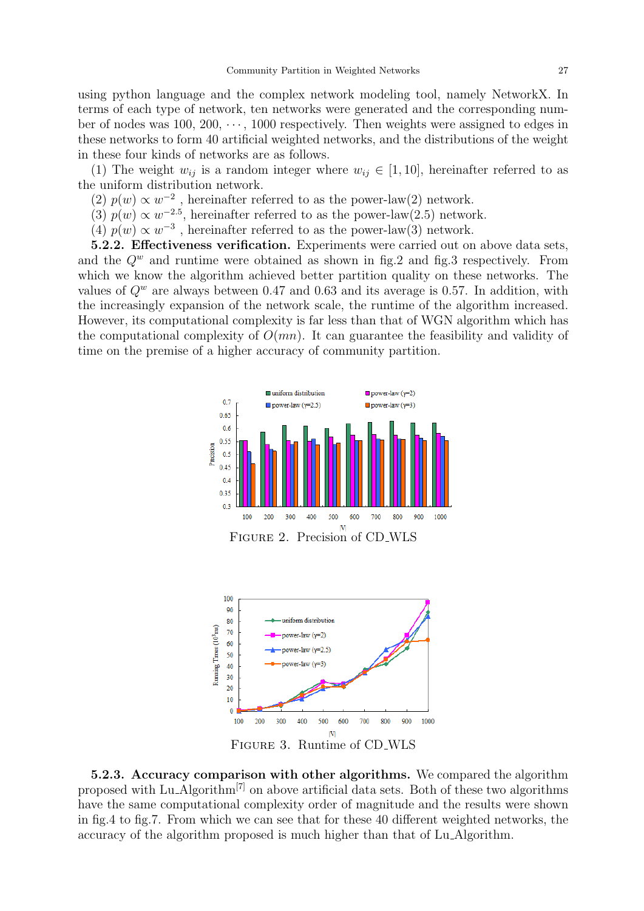using python language and the complex network modeling tool, namely NetworkX. In terms of each type of network, ten networks were generated and the corresponding number of nodes was 100, 200, *· · ·* , 1000 respectively. Then weights were assigned to edges in these networks to form 40 artificial weighted networks, and the distributions of the weight in these four kinds of networks are as follows.

(1) The weight  $w_{ij}$  is a random integer where  $w_{ij} \in [1, 10]$ , hereinafter referred to as the uniform distribution network.

(2)  $p(w) \propto w^{-2}$ , hereinafter referred to as the power-law(2) network.

(3)  $p(w) \propto w^{-2.5}$ , hereinafter referred to as the power-law(2.5) network.

(4)  $p(w) \propto w^{-3}$ , hereinafter referred to as the power-law(3) network.

**5.2.2. Effectiveness verification.** Experiments were carried out on above data sets, and the  $Q^w$  and runtime were obtained as shown in fig.2 and fig.3 respectively. From which we know the algorithm achieved better partition quality on these networks. The values of  $Q^w$  are always between 0.47 and 0.63 and its average is 0.57. In addition, with the increasingly expansion of the network scale, the runtime of the algorithm increased. However, its computational complexity is far less than that of WGN algorithm which has the computational complexity of  $O(mn)$ . It can guarantee the feasibility and validity of time on the premise of a higher accuracy of community partition.



Figure 2. Precision of CD WLS



**5.2.3. Accuracy comparison with other algorithms.** We compared the algorithm proposed with Lu Algorithm<sup>[7]</sup> on above artificial data sets. Both of these two algorithms have the same computational complexity order of magnitude and the results were shown in fig.4 to fig.7. From which we can see that for these 40 different weighted networks, the accuracy of the algorithm proposed is much higher than that of Lu Algorithm.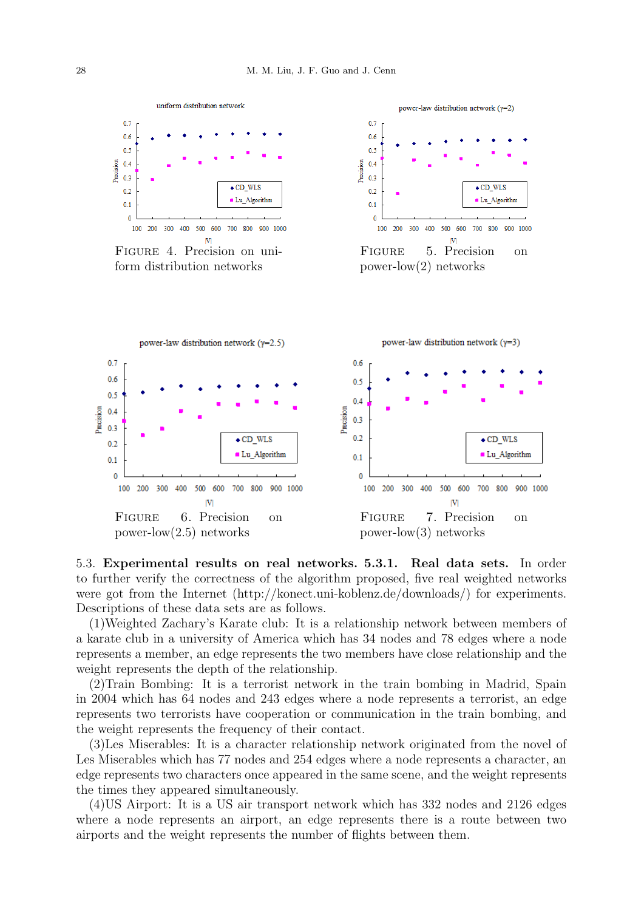

Figure 4. Precision on uniform distribution networks





5.3. **Experimental results on real networks. 5.3.1. Real data sets.** In order to further verify the correctness of the algorithm proposed, five real weighted networks were got from the Internet (http://konect.uni-koblenz.de/downloads/) for experiments. Descriptions of these data sets are as follows.

(1)Weighted Zachary's Karate club: It is a relationship network between members of a karate club in a university of America which has 34 nodes and 78 edges where a node represents a member, an edge represents the two members have close relationship and the weight represents the depth of the relationship.

(2)Train Bombing: It is a terrorist network in the train bombing in Madrid, Spain in 2004 which has 64 nodes and 243 edges where a node represents a terrorist, an edge represents two terrorists have cooperation or communication in the train bombing, and the weight represents the frequency of their contact.

(3)Les Miserables: It is a character relationship network originated from the novel of Les Miserables which has 77 nodes and 254 edges where a node represents a character, an edge represents two characters once appeared in the same scene, and the weight represents the times they appeared simultaneously.

(4)US Airport: It is a US air transport network which has 332 nodes and 2126 edges where a node represents an airport, an edge represents there is a route between two airports and the weight represents the number of flights between them.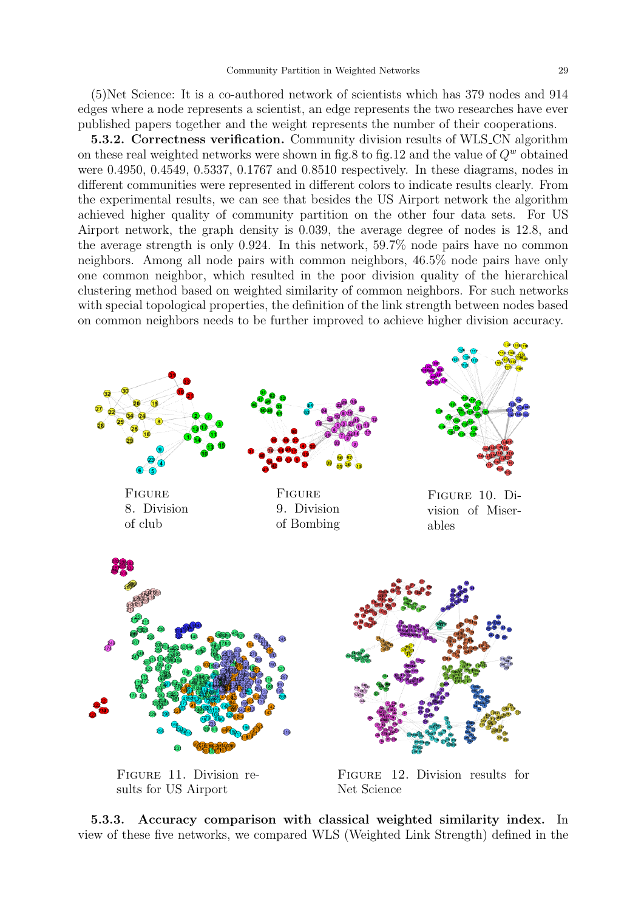(5)Net Science: It is a co-authored network of scientists which has 379 nodes and 914 edges where a node represents a scientist, an edge represents the two researches have ever published papers together and the weight represents the number of their cooperations.

**5.3.2. Correctness verification.** Community division results of WLS CN algorithm on these real weighted networks were shown in fig.8 to fig.12 and the value of *Q<sup>w</sup>* obtained were 0.4950, 0.4549, 0.5337, 0.1767 and 0.8510 respectively. In these diagrams, nodes in different communities were represented in different colors to indicate results clearly. From the experimental results, we can see that besides the US Airport network the algorithm achieved higher quality of community partition on the other four data sets. For US Airport network, the graph density is 0.039, the average degree of nodes is 12.8, and the average strength is only 0.924. In this network, 59.7% node pairs have no common neighbors. Among all node pairs with common neighbors, 46.5% node pairs have only one common neighbor, which resulted in the poor division quality of the hierarchical clustering method based on weighted similarity of common neighbors. For such networks with special topological properties, the definition of the link strength between nodes based on common neighbors needs to be further improved to achieve higher division accuracy.





Figure 11. Division results for US Airport

Figure 12. Division results for Net Science

**5.3.3. Accuracy comparison with classical weighted similarity index.** In view of these five networks, we compared WLS (Weighted Link Strength) defined in the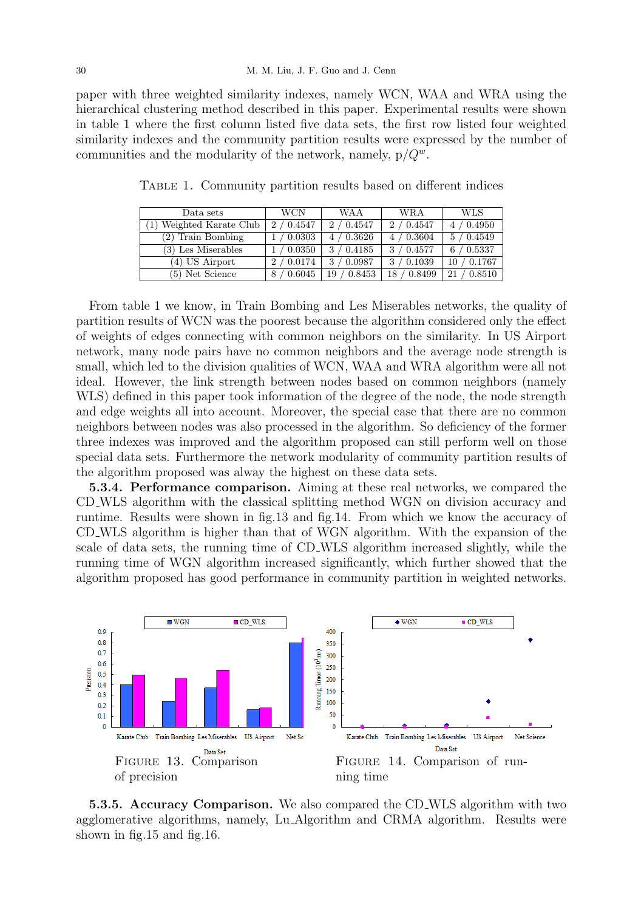paper with three weighted similarity indexes, namely WCN, WAA and WRA using the hierarchical clustering method described in this paper. Experimental results were shown in table 1 where the first column listed five data sets, the first row listed four weighted similarity indexes and the community partition results were expressed by the number of communities and the modularity of the network, namely, p/*Q<sup>w</sup>*.

| Data sets                | WCN             | WAA          | WRA          | WLS            |
|--------------------------|-----------------|--------------|--------------|----------------|
| (1) Weighted Karate Club | 2/0.4547        | 2/0.4547     | 2/0.4547     | $/$ 0.4950     |
| (2) Train Bombing        | $\sqrt{0.0303}$ | 4/0.3626     | 4/0.3604     | / 0.4549       |
| (3) Les Miserables       | $\prime$ 0.0350 | 3/0.4185     | 3 / 0.4577   | / 0.5337<br>6. |
| (4) US Airport           | 0.0174<br>2     | 3/0.0987     | $/$ 0.1039   | / 0.1767<br>10 |
| (5) Net Science          | 0.6045<br>8     | 0.8453<br>19 | 0.8499<br>18 | 0.8510<br>21   |

Table 1. Community partition results based on different indices

From table 1 we know, in Train Bombing and Les Miserables networks, the quality of partition results of WCN was the poorest because the algorithm considered only the effect of weights of edges connecting with common neighbors on the similarity. In US Airport network, many node pairs have no common neighbors and the average node strength is small, which led to the division qualities of WCN, WAA and WRA algorithm were all not ideal. However, the link strength between nodes based on common neighbors (namely WLS) defined in this paper took information of the degree of the node, the node strength and edge weights all into account. Moreover, the special case that there are no common neighbors between nodes was also processed in the algorithm. So deficiency of the former three indexes was improved and the algorithm proposed can still perform well on those special data sets. Furthermore the network modularity of community partition results of the algorithm proposed was alway the highest on these data sets.

**5.3.4. Performance comparison.** Aiming at these real networks, we compared the CD WLS algorithm with the classical splitting method WGN on division accuracy and runtime. Results were shown in fig.13 and fig.14. From which we know the accuracy of CD WLS algorithm is higher than that of WGN algorithm. With the expansion of the scale of data sets, the running time of CD WLS algorithm increased slightly, while the running time of WGN algorithm increased significantly, which further showed that the algorithm proposed has good performance in community partition in weighted networks.



**5.3.5. Accuracy Comparison.** We also compared the CD WLS algorithm with two agglomerative algorithms, namely, Lu Algorithm and CRMA algorithm. Results were shown in fig.15 and fig.16.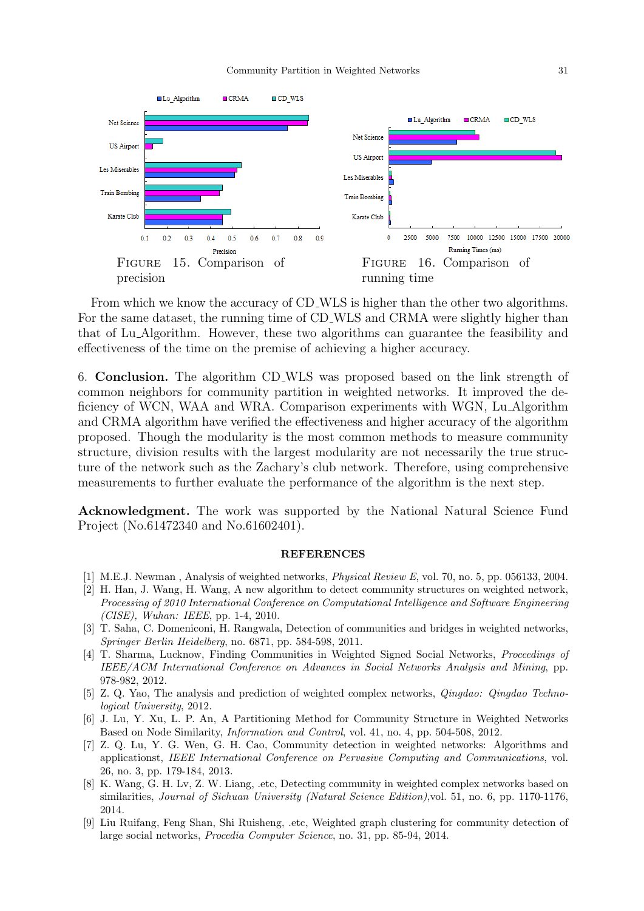

From which we know the accuracy of CD WLS is higher than the other two algorithms. For the same dataset, the running time of CD WLS and CRMA were slightly higher than that of Lu Algorithm. However, these two algorithms can guarantee the feasibility and effectiveness of the time on the premise of achieving a higher accuracy.

6. **Conclusion.** The algorithm CD WLS was proposed based on the link strength of common neighbors for community partition in weighted networks. It improved the deficiency of WCN, WAA and WRA. Comparison experiments with WGN, Lu Algorithm and CRMA algorithm have verified the effectiveness and higher accuracy of the algorithm proposed. Though the modularity is the most common methods to measure community structure, division results with the largest modularity are not necessarily the true structure of the network such as the Zachary's club network. Therefore, using comprehensive measurements to further evaluate the performance of the algorithm is the next step.

**Acknowledgment.** The work was supported by the National Natural Science Fund Project (No.61472340 and No.61602401).

## **REFERENCES**

- [1] M.E.J. Newman , Analysis of weighted networks, *Physical Review E*, vol. 70, no. 5, pp. 056133, 2004.
- [2] H. Han, J. Wang, H. Wang, A new algorithm to detect community structures on weighted network, *Processing of 2010 International Conference on Computational Intelligence and Software Engineering (CISE), Wuhan: IEEE*, pp. 1-4, 2010.
- [3] T. Saha, C. Domeniconi, H. Rangwala, Detection of communities and bridges in weighted networks, *Springer Berlin Heidelberg*, no. 6871, pp. 584-598, 2011.
- [4] T. Sharma, Lucknow, Finding Communities in Weighted Signed Social Networks, *Proceedings of IEEE/ACM International Conference on Advances in Social Networks Analysis and Mining*, pp. 978-982, 2012.
- [5] Z. Q. Yao, The analysis and prediction of weighted complex networks, *Qingdao: Qingdao Technological University*, 2012.
- [6] J. Lu, Y. Xu, L. P. An, A Partitioning Method for Community Structure in Weighted Networks Based on Node Similarity, *Information and Control*, vol. 41, no. 4, pp. 504-508, 2012.
- [7] Z. Q. Lu, Y. G. Wen, G. H. Cao, Community detection in weighted networks: Algorithms and applicationst, *IEEE International Conference on Pervasive Computing and Communications*, vol. 26, no. 3, pp. 179-184, 2013.
- [8] K. Wang, G. H. Lv, Z. W. Liang, .etc, Detecting community in weighted complex networks based on similarities, *Journal of Sichuan University (Natural Science Edition)*,vol. 51, no. 6, pp. 1170-1176, 2014.
- [9] Liu Ruifang, Feng Shan, Shi Ruisheng, .etc, Weighted graph clustering for community detection of large social networks, *Procedia Computer Science*, no. 31, pp. 85-94, 2014.